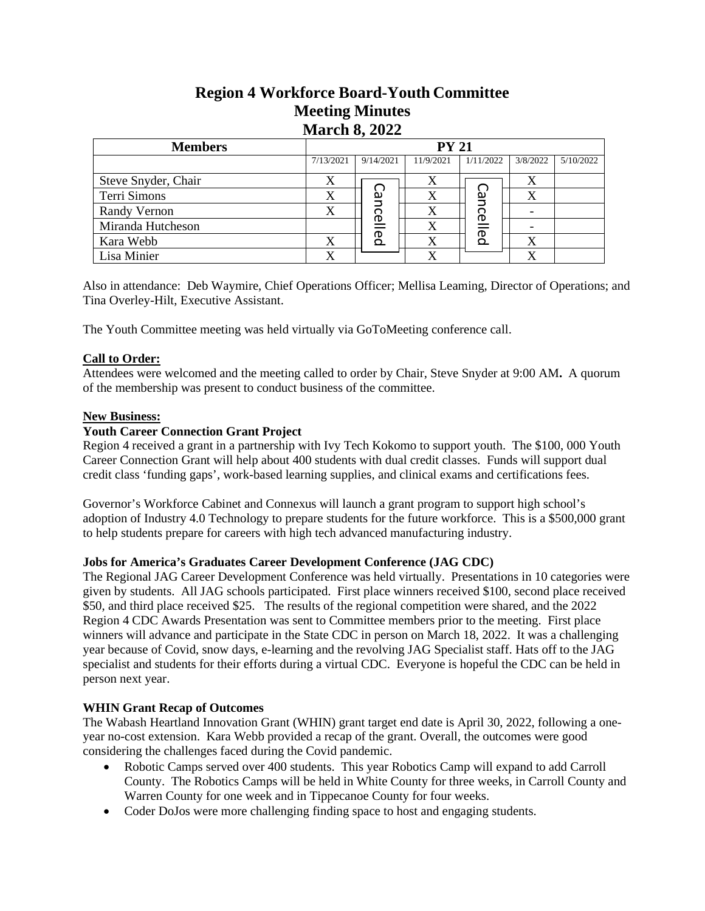# **Region 4 Workforce Board-Youth Committee Meeting Minutes March 8, 2022**

| <b>Members</b>      | <b>PY 21</b> |           |           |           |          |           |
|---------------------|--------------|-----------|-----------|-----------|----------|-----------|
|                     | 7/13/2021    | 9/14/2021 | 11/9/2021 | 1/11/2022 | 3/8/2022 | 5/10/2022 |
| Steve Snyder, Chair | Х            |           | X         |           | X        |           |
| Terri Simons        | X            | ပ္ပ       | Х         | വ         | X        |           |
| Randy Vernon        |              |           |           | റ<br>D    |          |           |
| Miranda Hutcheson   |              | icelled   | X         | ന         |          |           |
| Kara Webb           |              |           |           | Q         | X        |           |
| Lisa Minier         |              |           |           |           |          |           |

Also in attendance: Deb Waymire, Chief Operations Officer; Mellisa Leaming, Director of Operations; and Tina Overley-Hilt, Executive Assistant.

The Youth Committee meeting was held virtually via GoToMeeting conference call.

## **Call to Order:**

Attendees were welcomed and the meeting called to order by Chair, Steve Snyder at 9:00 AM**.** A quorum of the membership was present to conduct business of the committee.

### **New Business:**

### **Youth Career Connection Grant Project**

Region 4 received a grant in a partnership with Ivy Tech Kokomo to support youth. The \$100, 000 Youth Career Connection Grant will help about 400 students with dual credit classes. Funds will support dual credit class 'funding gaps', work-based learning supplies, and clinical exams and certifications fees.

Governor's Workforce Cabinet and Connexus will launch a grant program to support high school's adoption of Industry 4.0 Technology to prepare students for the future workforce. This is a \$500,000 grant to help students prepare for careers with high tech advanced manufacturing industry.

### **Jobs for America's Graduates Career Development Conference (JAG CDC)**

The Regional JAG Career Development Conference was held virtually. Presentations in 10 categories were given by students. All JAG schools participated. First place winners received \$100, second place received \$50, and third place received \$25. The results of the regional competition were shared, and the 2022 Region 4 CDC Awards Presentation was sent to Committee members prior to the meeting. First place winners will advance and participate in the State CDC in person on March 18, 2022. It was a challenging year because of Covid, snow days, e-learning and the revolving JAG Specialist staff. Hats off to the JAG specialist and students for their efforts during a virtual CDC. Everyone is hopeful the CDC can be held in person next year. For Simons<br>
Form Simons<br>
Variance and The Ministers of Taxablenging Finding Vermannial Hurtcheson<br>
Variands Hurtcheson<br>
Variance DoV Waymire, Chief Operations Officer: Mellisa Leuming, Director of<br>
San Minier<br>
San Minier<br>

### **WHIN Grant Recap of Outcomes**

The Wabash Heartland Innovation Grant (WHIN) grant target end date is April 30, 2022, following a oneyear no-cost extension. Kara Webb provided a recap of the grant. Overall, the outcomes were good considering the challenges faced during the Covid pandemic.

- Robotic Camps served over 400 students. This year Robotics Camp will expand to add Carroll County. The Robotics Camps will be held in White County for three weeks, in Carroll County and Warren County for one week and in Tippecanoe County for four weeks.
-